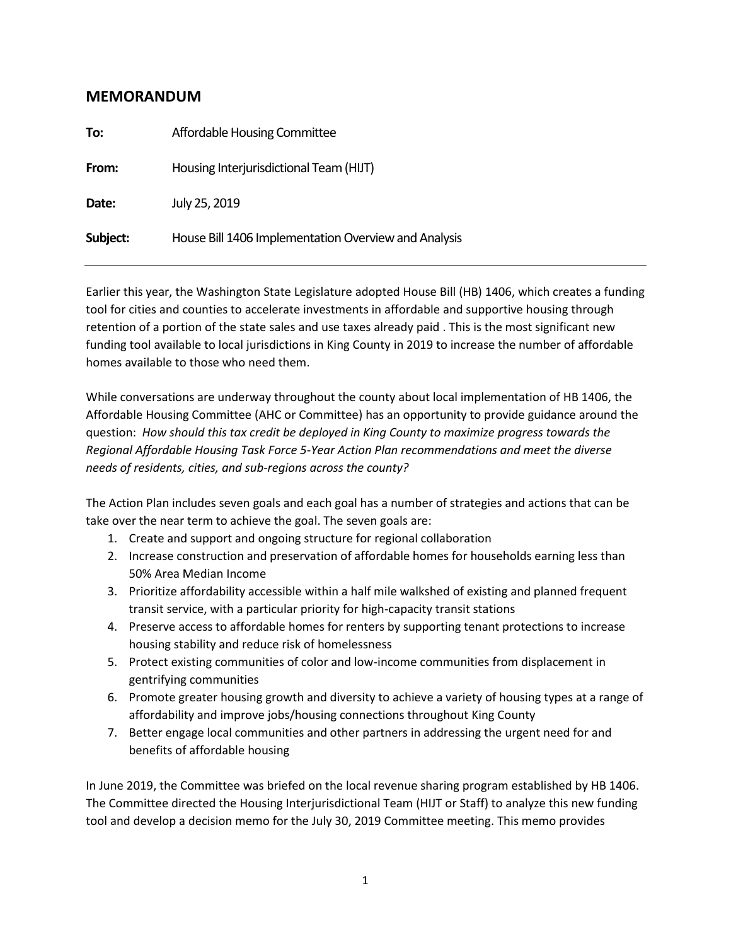# **MEMORANDUM**

| Affordable Housing Committee                         |
|------------------------------------------------------|
| Housing Interjurisdictional Team (HIJT)              |
| July 25, 2019                                        |
| House Bill 1406 Implementation Overview and Analysis |
|                                                      |

Earlier this year, the Washington State Legislature adopted House Bill (HB) 1406, which creates a funding tool for cities and counties to accelerate investments in affordable and supportive housing through retention of a portion of the state sales and use taxes already paid . This is the most significant new funding tool available to local jurisdictions in King County in 2019 to increase the number of affordable homes available to those who need them.

While conversations are underway throughout the county about local implementation of HB 1406, the Affordable Housing Committee (AHC or Committee) has an opportunity to provide guidance around the question: *How should this tax credit be deployed in King County to maximize progress towards the Regional Affordable Housing Task Force 5-Year Action Plan recommendations and meet the diverse needs of residents, cities, and sub-regions across the county?*

The Action Plan includes seven goals and each goal has a number of strategies and actions that can be take over the near term to achieve the goal. The seven goals are:

- 1. Create and support and ongoing structure for regional collaboration
- 2. Increase construction and preservation of affordable homes for households earning less than 50% Area Median Income
- 3. Prioritize affordability accessible within a half mile walkshed of existing and planned frequent transit service, with a particular priority for high-capacity transit stations
- 4. Preserve access to affordable homes for renters by supporting tenant protections to increase housing stability and reduce risk of homelessness
- 5. Protect existing communities of color and low-income communities from displacement in gentrifying communities
- 6. Promote greater housing growth and diversity to achieve a variety of housing types at a range of affordability and improve jobs/housing connections throughout King County
- 7. Better engage local communities and other partners in addressing the urgent need for and benefits of affordable housing

In June 2019, the Committee was briefed on the local revenue sharing program established by HB 1406. The Committee directed the Housing Interjurisdictional Team (HIJT or Staff) to analyze this new funding tool and develop a decision memo for the July 30, 2019 Committee meeting. This memo provides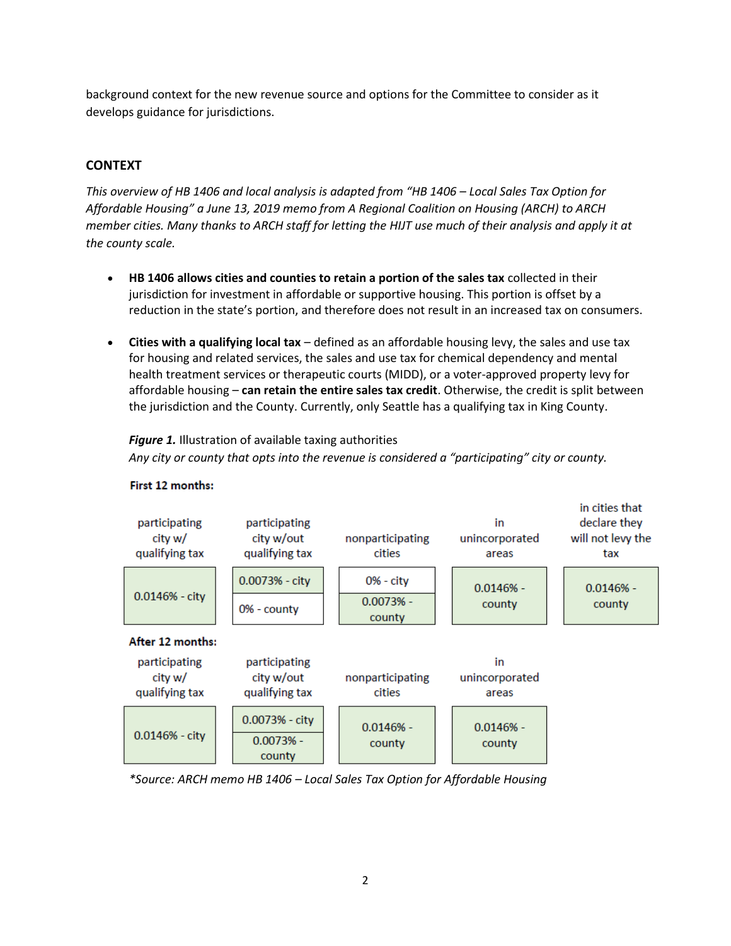background context for the new revenue source and options for the Committee to consider as it develops guidance for jurisdictions.

## **CONTEXT**

*This overview of HB 1406 and local analysis is adapted from "HB 1406 – Local Sales Tax Option for Affordable Housing" a June 13, 2019 memo from A Regional Coalition on Housing (ARCH) to ARCH member cities. Many thanks to ARCH staff for letting the HIJT use much of their analysis and apply it at the county scale.*

- **HB 1406 allows cities and counties to retain a portion of the sales tax** collected in their jurisdiction for investment in affordable or supportive housing. This portion is offset by a reduction in the state's portion, and therefore does not result in an increased tax on consumers.
- **Cities with a qualifying local tax** defined as an affordable housing levy, the sales and use tax for housing and related services, the sales and use tax for chemical dependency and mental health treatment services or therapeutic courts (MIDD), or a voter-approved property levy for affordable housing – **can retain the entire sales tax credit**. Otherwise, the credit is split between the jurisdiction and the County. Currently, only Seattle has a qualifying tax in King County.

*Figure 1.* Illustration of available taxing authorities *Any city or county that opts into the revenue is considered a "participating" city or county.*



#### First 12 months:

*\*Source: ARCH memo HB 1406 – Local Sales Tax Option for Affordable Housing*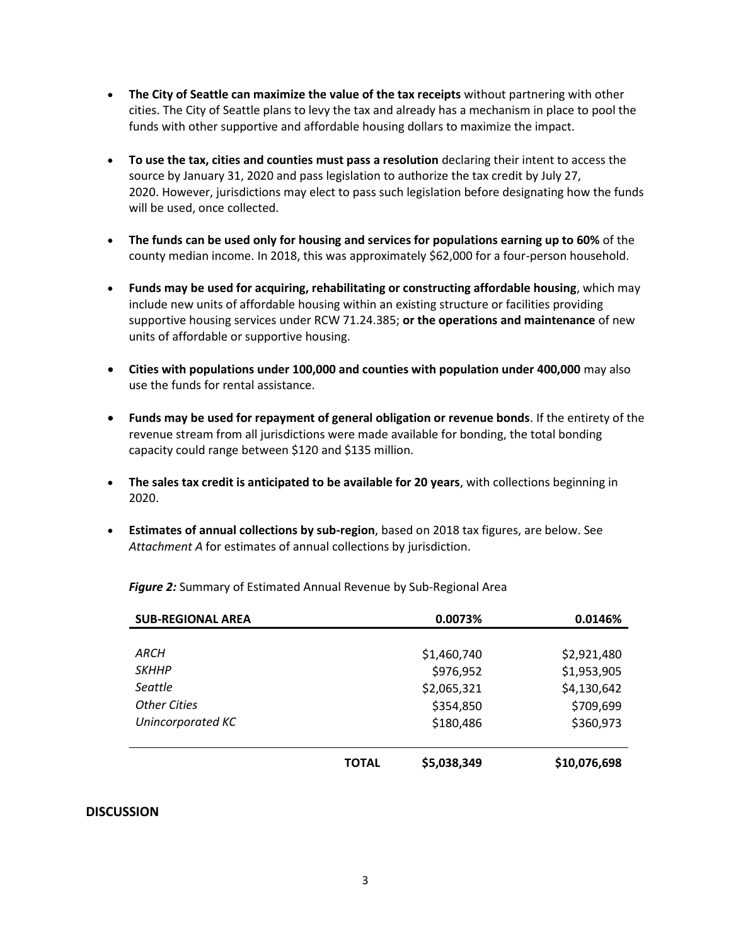- **The City of Seattle can maximize the value of the tax receipts** without partnering with other cities. The City of Seattle plans to levy the tax and already has a mechanism in place to pool the funds with other supportive and affordable housing dollars to maximize the impact.
- **To use the tax, cities and counties must pass a resolution** declaring their intent to access the source by January 31, 2020 and pass legislation to authorize the tax credit by July 27, 2020. However, jurisdictions may elect to pass such legislation before designating how the funds will be used, once collected.
- **The funds can be used only for housing and services for populations earning up to 60%** of the county median income. In 2018, this was approximately \$62,000 for a four-person household.
- **Funds may be used for acquiring, rehabilitating or constructing affordable housing**, which may include new units of affordable housing within an existing structure or facilities providing supportive housing services under RCW 71.24.385; **or the operations and maintenance** of new units of affordable or supportive housing.
- **Cities with populations under 100,000 and counties with population under 400,000** may also use the funds for rental assistance.
- **Funds may be used for repayment of general obligation or revenue bonds**. If the entirety of the revenue stream from all jurisdictions were made available for bonding, the total bonding capacity could range between \$120 and \$135 million.
- **The sales tax credit is anticipated to be available for 20 years**, with collections beginning in 2020.
- **Estimates of annual collections by sub-region**, based on 2018 tax figures, are below. See *Attachment A* for estimates of annual collections by jurisdiction.

*Figure 2:* Summary of Estimated Annual Revenue by Sub-Regional Area

| <b>SUB-REGIONAL AREA</b> | 0.0073%      |             |              |  | 0.0146% |
|--------------------------|--------------|-------------|--------------|--|---------|
|                          |              |             |              |  |         |
| <i>ARCH</i>              |              | \$1,460,740 | \$2,921,480  |  |         |
| <b>SKHHP</b>             |              | \$976,952   | \$1,953,905  |  |         |
| Seattle                  |              | \$2,065,321 | \$4,130,642  |  |         |
| <b>Other Cities</b>      |              | \$354,850   | \$709,699    |  |         |
| Unincorporated KC        |              | \$180,486   | \$360,973    |  |         |
|                          |              |             |              |  |         |
|                          | <b>TOTAL</b> | \$5,038,349 | \$10,076,698 |  |         |

#### **DISCUSSION**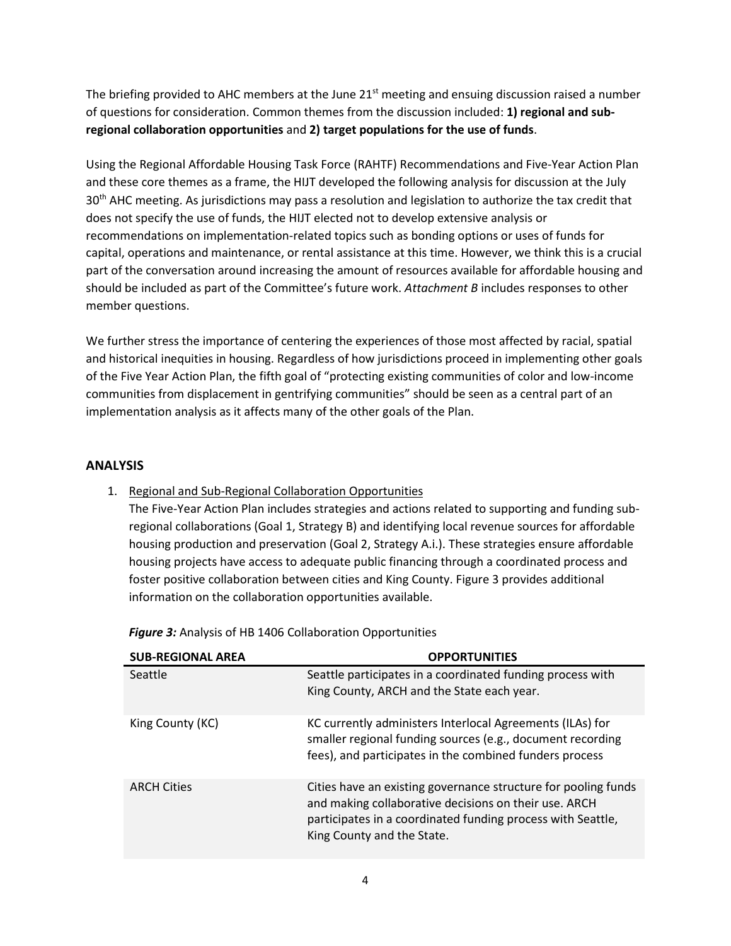The briefing provided to AHC members at the June  $21<sup>st</sup>$  meeting and ensuing discussion raised a number of questions for consideration. Common themes from the discussion included: **1) regional and subregional collaboration opportunities** and **2) target populations for the use of funds**.

Using the Regional Affordable Housing Task Force (RAHTF) Recommendations and Five-Year Action Plan and these core themes as a frame, the HIJT developed the following analysis for discussion at the July 30<sup>th</sup> AHC meeting. As jurisdictions may pass a resolution and legislation to authorize the tax credit that does not specify the use of funds, the HIJT elected not to develop extensive analysis or recommendations on implementation-related topics such as bonding options or uses of funds for capital, operations and maintenance, or rental assistance at this time. However, we think this is a crucial part of the conversation around increasing the amount of resources available for affordable housing and should be included as part of the Committee's future work. *Attachment B* includes responses to other member questions.

We further stress the importance of centering the experiences of those most affected by racial, spatial and historical inequities in housing. Regardless of how jurisdictions proceed in implementing other goals of the Five Year Action Plan, the fifth goal of "protecting existing communities of color and low-income communities from displacement in gentrifying communities" should be seen as a central part of an implementation analysis as it affects many of the other goals of the Plan.

## **ANALYSIS**

1. Regional and Sub-Regional Collaboration Opportunities

The Five-Year Action Plan includes strategies and actions related to supporting and funding subregional collaborations (Goal 1, Strategy B) and identifying local revenue sources for affordable housing production and preservation (Goal 2, Strategy A.i.). These strategies ensure affordable housing projects have access to adequate public financing through a coordinated process and foster positive collaboration between cities and King County. Figure 3 provides additional information on the collaboration opportunities available.

| <b>SUB-REGIONAL AREA</b> | <b>OPPORTUNITIES</b>                                                                                                                                                                                                 |
|--------------------------|----------------------------------------------------------------------------------------------------------------------------------------------------------------------------------------------------------------------|
| Seattle                  | Seattle participates in a coordinated funding process with<br>King County, ARCH and the State each year.                                                                                                             |
| King County (KC)         | KC currently administers Interlocal Agreements (ILAs) for<br>smaller regional funding sources (e.g., document recording<br>fees), and participates in the combined funders process                                   |
| <b>ARCH Cities</b>       | Cities have an existing governance structure for pooling funds<br>and making collaborative decisions on their use. ARCH<br>participates in a coordinated funding process with Seattle,<br>King County and the State. |

*Figure 3:* Analysis of HB 1406 Collaboration Opportunities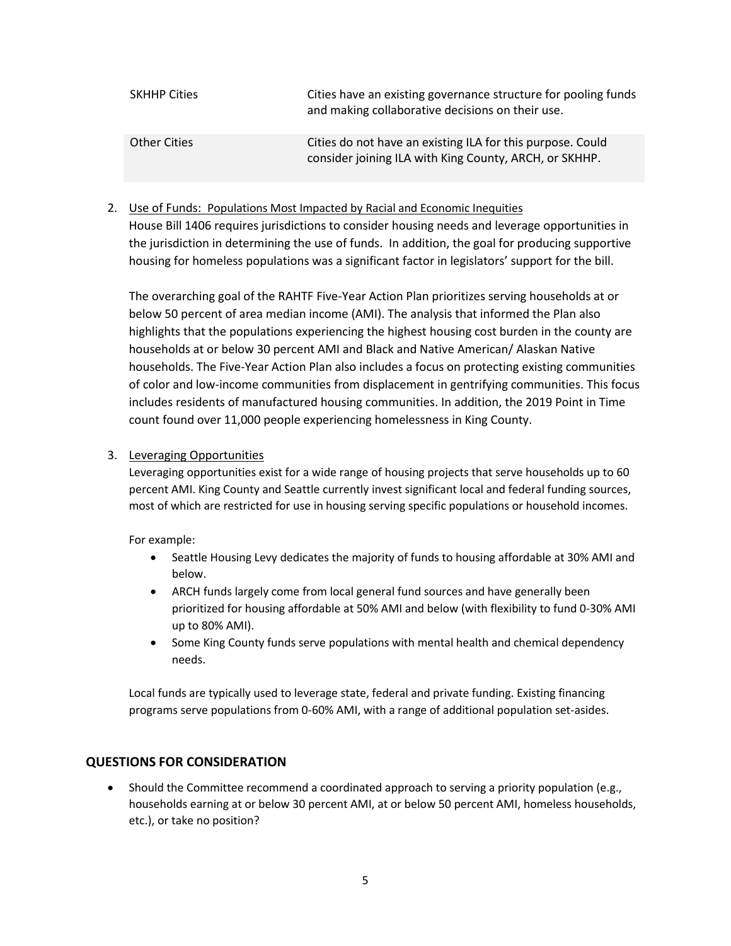| <b>SKHHP Cities</b> | Cities have an existing governance structure for pooling funds<br>and making collaborative decisions on their use.   |
|---------------------|----------------------------------------------------------------------------------------------------------------------|
| <b>Other Cities</b> | Cities do not have an existing ILA for this purpose. Could<br>consider joining ILA with King County, ARCH, or SKHHP. |

## 2. Use of Funds: Populations Most Impacted by Racial and Economic Inequities

House Bill 1406 requires jurisdictions to consider housing needs and leverage opportunities in the jurisdiction in determining the use of funds. In addition, the goal for producing supportive housing for homeless populations was a significant factor in legislators' support for the bill.

The overarching goal of the RAHTF Five-Year Action Plan prioritizes serving households at or below 50 percent of area median income (AMI). The analysis that informed the Plan also highlights that the populations experiencing the highest housing cost burden in the county are households at or below 30 percent AMI and Black and Native American/ Alaskan Native households. The Five-Year Action Plan also includes a focus on protecting existing communities of color and low-income communities from displacement in gentrifying communities. This focus includes residents of manufactured housing communities. In addition, the 2019 Point in Time count found over 11,000 people experiencing homelessness in King County.

#### 3. Leveraging Opportunities

Leveraging opportunities exist for a wide range of housing projects that serve households up to 60 percent AMI. King County and Seattle currently invest significant local and federal funding sources, most of which are restricted for use in housing serving specific populations or household incomes.

For example:

- Seattle Housing Levy dedicates the majority of funds to housing affordable at 30% AMI and below.
- ARCH funds largely come from local general fund sources and have generally been prioritized for housing affordable at 50% AMI and below (with flexibility to fund 0-30% AMI up to 80% AMI).
- Some King County funds serve populations with mental health and chemical dependency needs.

Local funds are typically used to leverage state, federal and private funding. Existing financing programs serve populations from 0-60% AMI, with a range of additional population set-asides.

#### **QUESTIONS FOR CONSIDERATION**

• Should the Committee recommend a coordinated approach to serving a priority population (e.g., households earning at or below 30 percent AMI, at or below 50 percent AMI, homeless households, etc.), or take no position?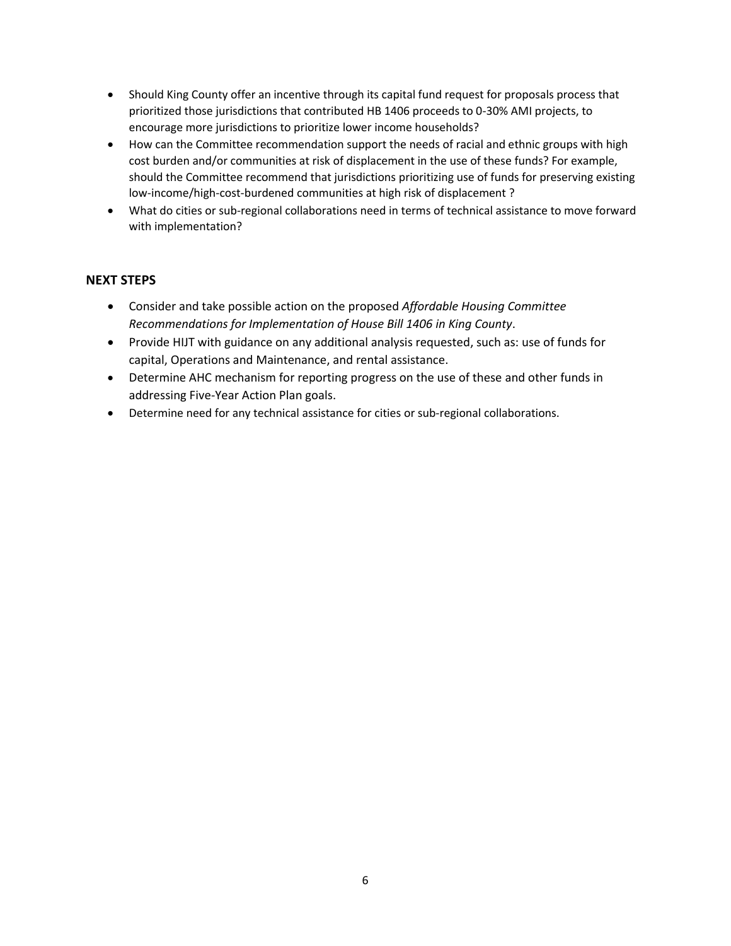- Should King County offer an incentive through its capital fund request for proposals process that prioritized those jurisdictions that contributed HB 1406 proceeds to 0-30% AMI projects, to encourage more jurisdictions to prioritize lower income households?
- How can the Committee recommendation support the needs of racial and ethnic groups with high cost burden and/or communities at risk of displacement in the use of these funds? For example, should the Committee recommend that jurisdictions prioritizing use of funds for preserving existing low-income/high-cost-burdened communities at high risk of displacement ?
- What do cities or sub-regional collaborations need in terms of technical assistance to move forward with implementation?

## **NEXT STEPS**

- Consider and take possible action on the proposed *Affordable Housing Committee Recommendations for Implementation of House Bill 1406 in King County*.
- Provide HIJT with guidance on any additional analysis requested, such as: use of funds for capital, Operations and Maintenance, and rental assistance.
- Determine AHC mechanism for reporting progress on the use of these and other funds in addressing Five-Year Action Plan goals.
- Determine need for any technical assistance for cities or sub-regional collaborations.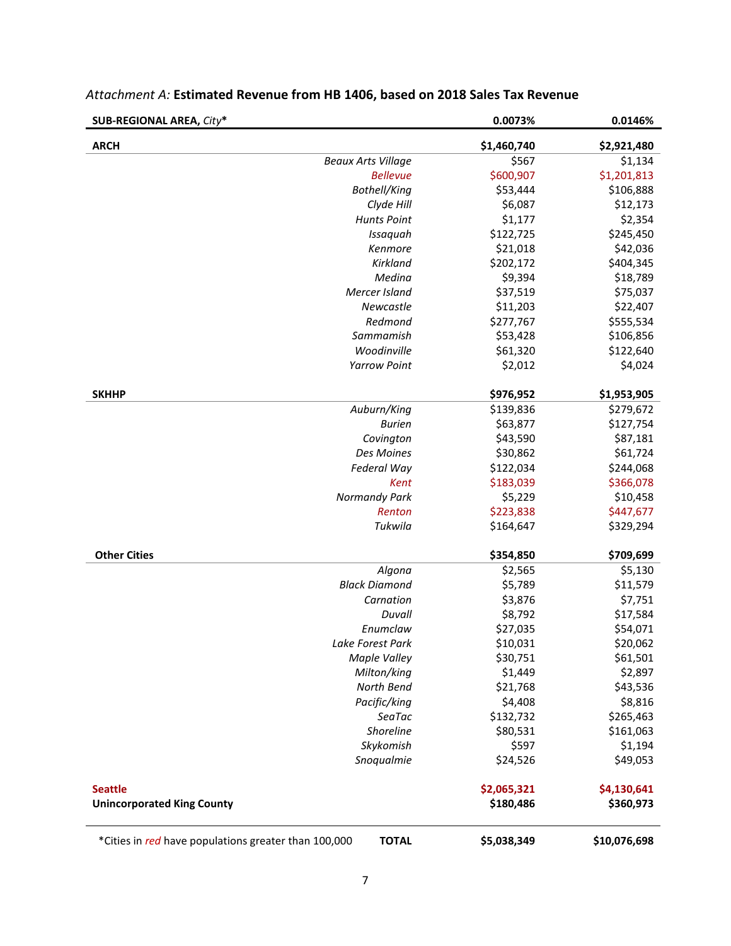| <b>SUB-REGIONAL AREA, City*</b>                      |                           | 0.0073%     | 0.0146%      |
|------------------------------------------------------|---------------------------|-------------|--------------|
| <b>ARCH</b>                                          |                           | \$1,460,740 | \$2,921,480  |
|                                                      | <b>Beaux Arts Village</b> | \$567       | \$1,134      |
|                                                      | <b>Bellevue</b>           | \$600,907   | \$1,201,813  |
|                                                      | Bothell/King              | \$53,444    | \$106,888    |
|                                                      | Clyde Hill                | \$6,087     | \$12,173     |
|                                                      | <b>Hunts Point</b>        | \$1,177     | \$2,354      |
|                                                      | Issaquah                  | \$122,725   | \$245,450    |
|                                                      | Kenmore                   | \$21,018    | \$42,036     |
|                                                      | Kirkland                  | \$202,172   | \$404,345    |
|                                                      | Medina                    | \$9,394     | \$18,789     |
|                                                      | Mercer Island             | \$37,519    | \$75,037     |
|                                                      | Newcastle                 | \$11,203    | \$22,407     |
|                                                      | Redmond                   | \$277,767   | \$555,534    |
|                                                      | Sammamish                 | \$53,428    | \$106,856    |
|                                                      | Woodinville               | \$61,320    | \$122,640    |
|                                                      | <b>Yarrow Point</b>       | \$2,012     | \$4,024      |
| <b>SKHHP</b>                                         |                           | \$976,952   | \$1,953,905  |
|                                                      | Auburn/King               | \$139,836   | \$279,672    |
|                                                      | <b>Burien</b>             | \$63,877    | \$127,754    |
|                                                      | Covington                 | \$43,590    | \$87,181     |
|                                                      | Des Moines                | \$30,862    | \$61,724     |
|                                                      | Federal Way               | \$122,034   | \$244,068    |
|                                                      | Kent                      | \$183,039   | \$366,078    |
|                                                      | <b>Normandy Park</b>      | \$5,229     | \$10,458     |
|                                                      | Renton                    | \$223,838   | \$447,677    |
|                                                      | Tukwila                   | \$164,647   | \$329,294    |
| <b>Other Cities</b>                                  |                           | \$354,850   | \$709,699    |
|                                                      | Algona                    | \$2,565     | \$5,130      |
|                                                      | <b>Black Diamond</b>      | \$5,789     | \$11,579     |
|                                                      | Carnation                 | \$3,876     | \$7,751      |
|                                                      | Duvall                    | \$8,792     | \$17,584     |
|                                                      | Enumclaw                  | \$27,035    | \$54,071     |
|                                                      | Lake Forest Park          | \$10,031    | \$20,062     |
|                                                      | <b>Maple Valley</b>       | \$30,751    | \$61,501     |
|                                                      | Milton/king               | \$1,449     | \$2,897      |
|                                                      | North Bend                | \$21,768    | \$43,536     |
|                                                      | Pacific/king              | \$4,408     | \$8,816      |
|                                                      | SeaTac                    | \$132,732   | \$265,463    |
|                                                      | Shoreline                 | \$80,531    | \$161,063    |
|                                                      | Skykomish                 | \$597       | \$1,194      |
|                                                      | Snoqualmie                | \$24,526    | \$49,053     |
| <b>Seattle</b>                                       |                           | \$2,065,321 | \$4,130,641  |
| <b>Unincorporated King County</b>                    |                           | \$180,486   | \$360,973    |
| *Cities in red have populations greater than 100,000 | <b>TOTAL</b>              | \$5,038,349 | \$10,076,698 |

# *Attachment A:* **Estimated Revenue from HB 1406, based on 2018 Sales Tax Revenue**